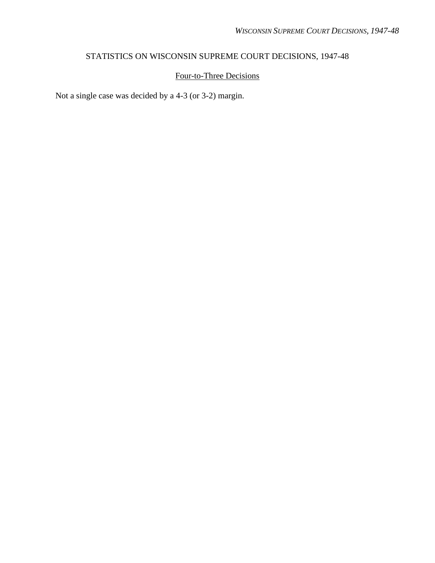# STATISTICS ON WISCONSIN SUPREME COURT DECISIONS, 1947-48

### Four-to-Three Decisions

Not a single case was decided by a 4-3 (or 3-2) margin.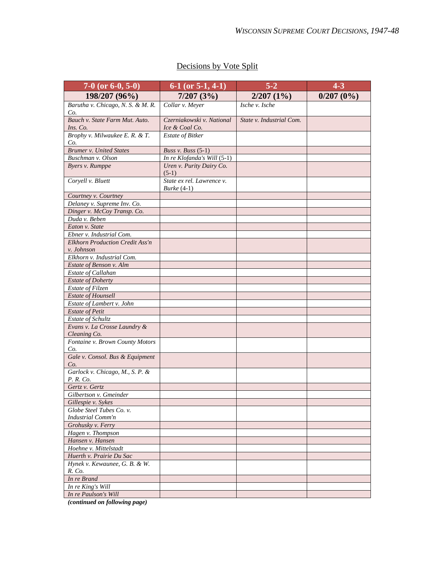| $7-0$ (or 6-0, 5-0)                          | $5 - 2$<br>$\overline{6}$ -1 (or 5-1, 4-1)          |                          | $4 - 3$   |
|----------------------------------------------|-----------------------------------------------------|--------------------------|-----------|
| 198/207 (96%)                                | 7/207(3%)                                           | $2/207(1\%)$             | 0/207(0%) |
| Barutha v. Chicago, N. S. & M. R.            | Collar v. Meyer                                     | Ische v. Ische           |           |
| Co.                                          |                                                     |                          |           |
| Bauch v. State Farm Mut. Auto.               | Czerniakowski v. National                           | State v. Industrial Com. |           |
| Ins. Co.                                     | Ice & Coal Co.                                      |                          |           |
| Brophy v. Milwaukee E. R. & T.               | <b>Estate of Bitker</b>                             |                          |           |
| Co.<br><b>Brumer v. United States</b>        |                                                     |                          |           |
| Buschman v. Olson                            | Buss v. Buss $(5-1)$<br>In re Klofanda's Will (5-1) |                          |           |
| Byers v. Rumppe                              | Uren v. Purity Dairy Co.                            |                          |           |
|                                              | $(5-1)$                                             |                          |           |
| Coryell v. Bluett                            | State ex rel. Lawrence v.                           |                          |           |
|                                              | Burke $(4-1)$                                       |                          |           |
| Courtney v. Courtney                         |                                                     |                          |           |
| Delaney v. Supreme Inv. Co.                  |                                                     |                          |           |
| Dinger v. McCoy Transp. Co.                  |                                                     |                          |           |
| Duda v. Beben                                |                                                     |                          |           |
| Eaton v. State                               |                                                     |                          |           |
| Ebner v. Industrial Com.                     |                                                     |                          |           |
| <b>Elkhorn Production Credit Ass'n</b>       |                                                     |                          |           |
| v. Johnson<br>Elkhorn v. Industrial Com.     |                                                     |                          |           |
| Estate of Benson v. Alm                      |                                                     |                          |           |
| Estate of Callahan                           |                                                     |                          |           |
| <b>Estate of Doherty</b>                     |                                                     |                          |           |
| <b>Estate of Filzen</b>                      |                                                     |                          |           |
| <b>Estate of Hounsell</b>                    |                                                     |                          |           |
| Estate of Lambert v. John                    |                                                     |                          |           |
| <b>Estate of Petit</b>                       |                                                     |                          |           |
| Estate of Schultz                            |                                                     |                          |           |
| Evans v. La Crosse Laundry &                 |                                                     |                          |           |
| Cleaning Co.                                 |                                                     |                          |           |
| Fontaine v. Brown County Motors              |                                                     |                          |           |
| Co.                                          |                                                     |                          |           |
| Gale v. Consol. Bus & Equipment              |                                                     |                          |           |
| Co.                                          |                                                     |                          |           |
| Garlock v. Chicago, M., S. P. &<br>P. R. Co. |                                                     |                          |           |
| Gertz v. Gertz                               |                                                     |                          |           |
| Gilbertson v. Gmeinder                       |                                                     |                          |           |
| Gillespie v. Sykes                           |                                                     |                          |           |
| Globe Steel Tubes Co. v.                     |                                                     |                          |           |
| Industrial Comm'n                            |                                                     |                          |           |
| Grohusky v. Ferry                            |                                                     |                          |           |
| Hagen v. Thompson                            |                                                     |                          |           |
| Hansen v. Hansen                             |                                                     |                          |           |
| Hoehne v. Mittelstadt                        |                                                     |                          |           |
| Huerth v. Prairie Du Sac                     |                                                     |                          |           |
| Hynek v. Kewaunee, G. B. & W.                |                                                     |                          |           |
| R. Co.                                       |                                                     |                          |           |
| In re Brand                                  |                                                     |                          |           |
| In re King's Will                            |                                                     |                          |           |
| In re Paulson's Will                         |                                                     |                          |           |

# Decisions by Vote Split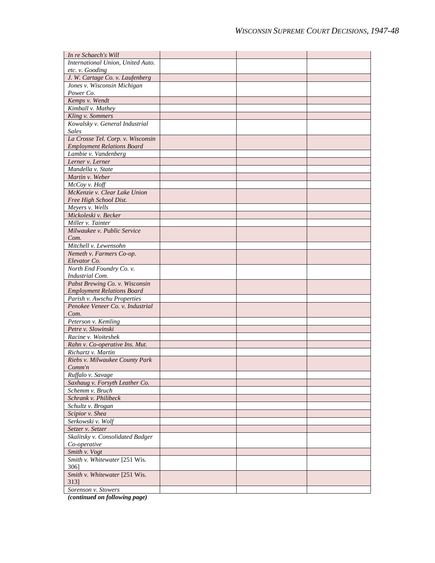| In re Schaech's Will                                 |  |  |
|------------------------------------------------------|--|--|
| International Union, United Auto.                    |  |  |
| etc. v. Gooding                                      |  |  |
| J. W. Cartage Co. v. Laufenberg                      |  |  |
| Jones v. Wisconsin Michigan                          |  |  |
| Power Co.                                            |  |  |
| Kemps v. Wendt                                       |  |  |
| Kimball v. Mathey                                    |  |  |
| Kling v. Sommers                                     |  |  |
| Kowalsky v. General Industrial                       |  |  |
| <b>Sales</b>                                         |  |  |
| La Crosse Tel. Corp. v. Wisconsin                    |  |  |
| <b>Employment Relations Board</b>                    |  |  |
| Lambie v. Vandenberg                                 |  |  |
| Lerner v. Lerner                                     |  |  |
| Mandella v. State                                    |  |  |
| Martin v. Weber                                      |  |  |
| McCoy v. Hoff                                        |  |  |
| McKenzie v. Clear Lake Union                         |  |  |
| Free High School Dist.                               |  |  |
| Meyers v. Wells                                      |  |  |
| Mickoleski v. Becker                                 |  |  |
| Miller v. Tainter                                    |  |  |
| Milwaukee v. Public Service                          |  |  |
| Com.                                                 |  |  |
| Mitchell v. Lewensohn                                |  |  |
| Nemeth v. Farmers Co-op.                             |  |  |
| Elevator Co.<br>North End Foundry Co. v.             |  |  |
| Industrial Com.                                      |  |  |
| Pabst Brewing Co. v. Wisconsin                       |  |  |
| <b>Employment Relations Board</b>                    |  |  |
| Parish v. Awschu Properties                          |  |  |
| Penokee Veneer Co. v. Industrial                     |  |  |
| Com.                                                 |  |  |
| Peterson v. Kemling                                  |  |  |
| Petre v. Slowinski                                   |  |  |
| Racine v. Woiteshek                                  |  |  |
| Rahn v. Co-operative Ins. Mut.                       |  |  |
| Richartz v. Martin                                   |  |  |
| Riebs v. Milwaukee County Park                       |  |  |
| Comm'n                                               |  |  |
| Ruffalo v. Savage                                    |  |  |
| Saxhaug v. Forsyth Leather Co.                       |  |  |
| Schemm v. Bruch                                      |  |  |
| Schrank v. Philibeck                                 |  |  |
| Schultz v. Brogan                                    |  |  |
| Scipior v. Shea                                      |  |  |
| Serkowski v. Wolf                                    |  |  |
| Setzer v. Setzer                                     |  |  |
| Skalitsky v. Consolidated Badger                     |  |  |
| Co-operative                                         |  |  |
| Smith v. Vogt                                        |  |  |
| Smith v. Whitewater [251 Wis.                        |  |  |
| 3061                                                 |  |  |
| Smith v. Whitewater [251 Wis.                        |  |  |
| 313]                                                 |  |  |
| Sorenson v. Stowers<br>(continued on following nage) |  |  |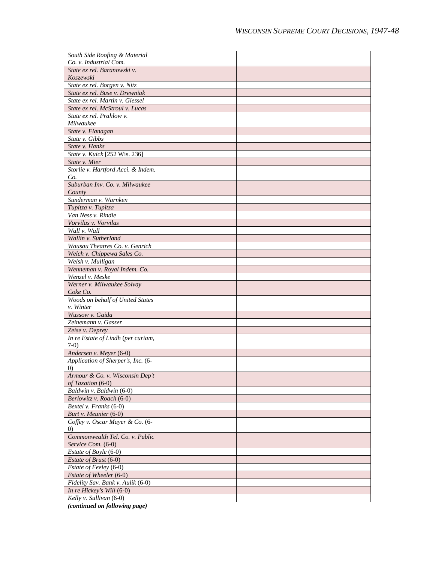| South Side Roofing & Material                        |  |  |
|------------------------------------------------------|--|--|
| Co. v. Industrial Com.                               |  |  |
| State ex rel. Baranowski v.                          |  |  |
| Koszewski                                            |  |  |
| State ex rel. Borgen v. Nitz                         |  |  |
| State ex rel. Buse v. Drewniak                       |  |  |
| State ex rel. Martin v. Giessel                      |  |  |
| State ex rel. McStroul v. Lucas                      |  |  |
| State ex rel. Prahlow v.                             |  |  |
| Milwaukee                                            |  |  |
| State v. Flanagan                                    |  |  |
| State v. Gibbs                                       |  |  |
| State v. Hanks                                       |  |  |
| State v. Kuick [252 Wis. 236]                        |  |  |
| State v. Mier                                        |  |  |
| Storlie v. Hartford Acci. & Indem.<br>Co.            |  |  |
| Suburban Inv. Co. v. Milwaukee                       |  |  |
| County                                               |  |  |
| Sunderman v. Warnken                                 |  |  |
| Tupitza v. Tupitza                                   |  |  |
| Van Ness v. Rindle                                   |  |  |
| Vorvilas v. Vorvilas                                 |  |  |
| Wall v. Wall                                         |  |  |
| Wallin v. Sutherland                                 |  |  |
| Wausau Theatres Co. v. Genrich                       |  |  |
| Welch v. Chippewa Sales Co.                          |  |  |
| Welsh v. Mulligan                                    |  |  |
| Wenneman v. Royal Indem. Co.                         |  |  |
| Wenzel v. Meske                                      |  |  |
| Werner v. Milwaukee Solvay<br>Coke Co.               |  |  |
| Woods on behalf of United States                     |  |  |
| v. Winter                                            |  |  |
| Wussow v. Gaida                                      |  |  |
| Zeinemann v. Gasser                                  |  |  |
| Zeise v. Deprey                                      |  |  |
| In re Estate of Lindh (per curiam,<br>$7-0$          |  |  |
| Andersen v. Meyer (6-0)                              |  |  |
| Application of Sherper's, Inc. (6-<br>(0)            |  |  |
| Armour & Co. v. Wisconsin Dep't<br>of Taxation (6-0) |  |  |
| Baldwin v. Baldwin (6-0)                             |  |  |
| Berlowitz v. Roach (6-0)                             |  |  |
| Bextel v. Franks (6-0)                               |  |  |
| Burt v. Meunier (6-0)                                |  |  |
| Coffey v. Oscar Mayer & Co. (6-                      |  |  |
| $\left( 0\right)$                                    |  |  |
| Commonwealth Tel. Co. v. Public                      |  |  |
| Service Com. (6-0)                                   |  |  |
| Estate of Boyle (6-0)                                |  |  |
| Estate of Brust (6-0)                                |  |  |
| Estate of Feeley (6-0)                               |  |  |
| Estate of Wheeler (6-0)                              |  |  |
| Fidelity Sav. Bank v. Aulik (6-0)                    |  |  |
| In re Hickey's Will (6-0)                            |  |  |
| Kelly v. Sullivan (6-0)                              |  |  |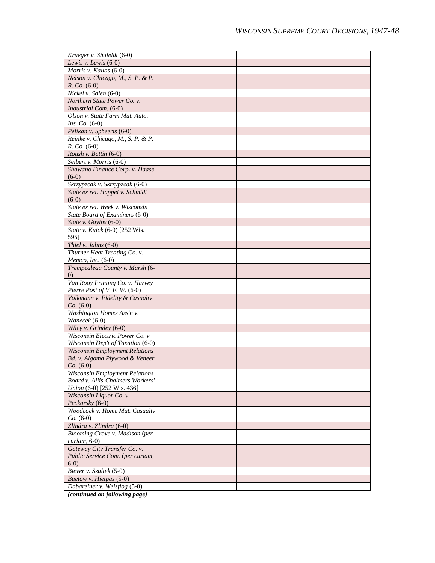| Krueger v. Shufeldt (6-0)                                        |  |  |
|------------------------------------------------------------------|--|--|
| Lewis v. Lewis $(6-0)$                                           |  |  |
| Morris v. Kallas (6-0)                                           |  |  |
| Nelson v. Chicago, M., S. P. & P.                                |  |  |
| $R. Co. (6-0)$                                                   |  |  |
| Nickel v. Salen (6-0)                                            |  |  |
| Northern State Power Co. v.                                      |  |  |
| Industrial Com. (6-0)                                            |  |  |
| Olson v. State Farm Mut. Auto.                                   |  |  |
| <i>Ins.</i> $Co. (6-0)$                                          |  |  |
| Pelikan v. Spheeris (6-0)                                        |  |  |
| Reinke v. Chicago, M., S. P. & P.<br>$R. Co. (6-0)$              |  |  |
| Roush v. Battin (6-0)                                            |  |  |
| Seibert v. Morris (6-0)                                          |  |  |
| Shawano Finance Corp. v. Haase                                   |  |  |
| $(6-0)$                                                          |  |  |
| Skrzypzcak v. Skrzypzcak (6-0)                                   |  |  |
| State ex rel. Happel v. Schmidt                                  |  |  |
| $(6-0)$                                                          |  |  |
| State ex rel. Week v. Wisconsin                                  |  |  |
| State Board of Examiners (6-0)                                   |  |  |
| State v. Goyins (6-0)                                            |  |  |
| State v. Kuick (6-0) [252 Wis.                                   |  |  |
| 5951                                                             |  |  |
| Thiel v. Jahns (6-0)                                             |  |  |
| Thurner Heat Treating Co. v.                                     |  |  |
| Memco, Inc. (6-0)                                                |  |  |
| Trempealeau County v. Marsh (6-                                  |  |  |
| $\left( 0\right)$                                                |  |  |
| Van Rooy Printing Co. v. Harvey<br>Pierre Post of V. F. W. (6-0) |  |  |
| Volkmann v. Fidelity & Casualty                                  |  |  |
| $Co. (6-0)$                                                      |  |  |
| Washington Homes Ass'n v.                                        |  |  |
| Wanecek (6-0)                                                    |  |  |
| Wiley v. Grindey (6-0)                                           |  |  |
| Wisconsin Electric Power Co. v.                                  |  |  |
| Wisconsin Dep't of Taxation (6-0)                                |  |  |
| <b>Wisconsin Employment Relations</b>                            |  |  |
| Bd. v. Algoma Plywood & Veneer                                   |  |  |
| $Co. (6-0)$                                                      |  |  |
| <b>Wisconsin Employment Relations</b>                            |  |  |
| Board v. Allis-Chalmers Workers'                                 |  |  |
| Union (6-0) [252 Wis. 436]                                       |  |  |
| Wisconsin Liquor Co. v.<br>Peckarsky (6-0)                       |  |  |
| Woodcock v. Home Mut. Casualty                                   |  |  |
| $Co. (6-0)$                                                      |  |  |
| Zlindra v. Zlindra (6-0)                                         |  |  |
| Blooming Grove v. Madison (per                                   |  |  |
| curiam, 6-0)                                                     |  |  |
| Gateway City Transfer Co. v.                                     |  |  |
| Public Service Com. (per curiam,                                 |  |  |
| $6-0$                                                            |  |  |
| Biever v. Szultek (5-0)                                          |  |  |
| Buetow v. Hietpas (5-0)                                          |  |  |
| Dabareiner v. Weisflog (5-0)                                     |  |  |
|                                                                  |  |  |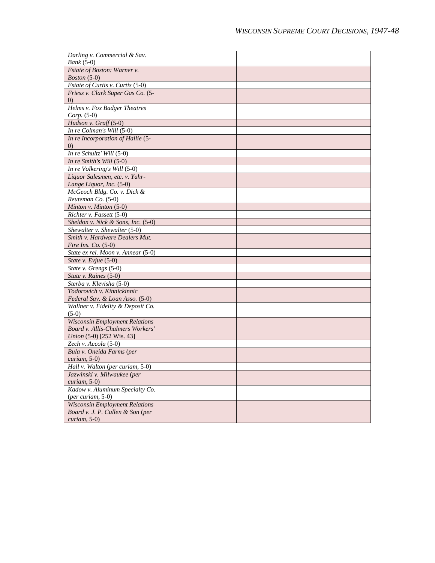| Darling v. Commercial & Sav.<br>$Bank(5-0)$                               |  |  |
|---------------------------------------------------------------------------|--|--|
| Estate of Boston: Warner v.<br><i>Boston</i> $(5-0)$                      |  |  |
| Estate of Curtis v. Curtis (5-0)                                          |  |  |
| Friess v. Clark Super Gas Co. (5-<br>$\left( 0\right)$                    |  |  |
| Helms v. Fox Badger Theatres                                              |  |  |
| $Corp. (5-0)$<br>Hudson v. Graff (5-0)                                    |  |  |
| In re Colman's Will (5-0)                                                 |  |  |
| In re Incorporation of Hallie (5-                                         |  |  |
| $\left( 0\right)$                                                         |  |  |
| In re Schultz' Will (5-0)                                                 |  |  |
| In re Smith's Will (5-0)                                                  |  |  |
| In re Volkering's Will (5-0)                                              |  |  |
| Liquor Salesmen, etc. v. Yahr-                                            |  |  |
| Lange Liquor, Inc. (5-0)                                                  |  |  |
| McGeoch Bldg. Co. v. Dick &                                               |  |  |
| Reuteman Co. (5-0)                                                        |  |  |
| Minton v. Minton (5-0)                                                    |  |  |
| Richter v. Fassett (5-0)                                                  |  |  |
| Sheldon v. Nick & Sons, Inc. $(5-0)$                                      |  |  |
| Shewalter v. Shewalter (5-0)                                              |  |  |
| Smith v. Hardware Dealers Mut.                                            |  |  |
| Fire Ins. Co. $(5-0)$                                                     |  |  |
| State ex rel. Moon v. Annear (5-0)                                        |  |  |
| State v. Evjue (5-0)                                                      |  |  |
| State v. Grengs (5-0)                                                     |  |  |
| State v. Raines (5-0)                                                     |  |  |
| Sterba v. Klevisha (5-0)                                                  |  |  |
| Todorovich v. Kinnickinnic                                                |  |  |
| Federal Sav. & Loan Asso. (5-0)                                           |  |  |
| Wallner v. Fidelity & Deposit Co.                                         |  |  |
| $(5-0)$                                                                   |  |  |
| <b>Wisconsin Employment Relations</b><br>Board v. Allis-Chalmers Workers' |  |  |
|                                                                           |  |  |
| <i>Union</i> (5-0) [252 Wis. 43]<br>Zech v. Accola (5-0)                  |  |  |
| Bula v. Oneida Farms (per                                                 |  |  |
| $curiam, 5-0)$                                                            |  |  |
| Hall v. Walton (per curiam, 5-0)                                          |  |  |
| Jazwinski v. Milwaukee (per                                               |  |  |
| $curiam, 5-0)$                                                            |  |  |
| Kadow v. Aluminum Specialty Co.                                           |  |  |
| $(per\, curiam, 5-0)$                                                     |  |  |
| <b>Wisconsin Employment Relations</b>                                     |  |  |
| Board v. J. P. Cullen & Son (per                                          |  |  |
| $curiam, 5-0)$                                                            |  |  |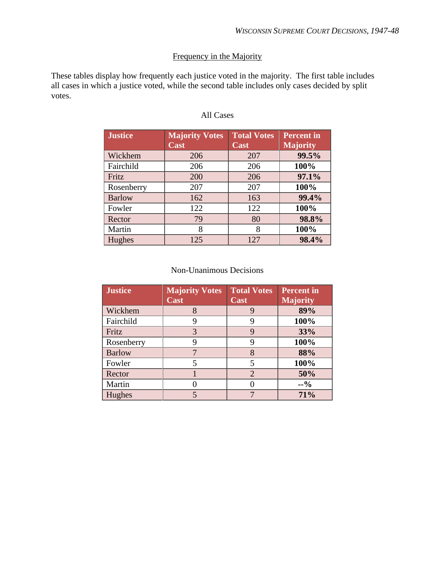## Frequency in the Majority

These tables display how frequently each justice voted in the majority. The first table includes all cases in which a justice voted, while the second table includes only cases decided by split votes.

| <b>Justice</b> | <b>Majority Votes</b><br>Cast | <b>Total Votes</b><br>Cast | <b>Percent</b> in<br><b>Majority</b> |
|----------------|-------------------------------|----------------------------|--------------------------------------|
| Wickhem        | 206                           | 207                        | 99.5%                                |
| Fairchild      | 206                           | 206                        | 100%                                 |
| Fritz          | 200                           | 206                        | 97.1%                                |
| Rosenberry     | 207                           | 207                        | 100%                                 |
| <b>Barlow</b>  | 162                           | 163                        | 99.4%                                |
| Fowler         | 122                           | 122                        | 100%                                 |
| Rector         | 79                            | 80                         | 98.8%                                |
| Martin         | 8                             | 8                          | 100%                                 |
| Hughes         | 125                           | 127                        | 98.4%                                |

### All Cases

#### Non-Unanimous Decisions

| <b>Justice</b> | <b>Majority Votes</b><br>Cast | <b>Total Votes</b><br>Cast | <b>Percent</b> in<br><b>Majority</b> |
|----------------|-------------------------------|----------------------------|--------------------------------------|
| Wickhem        |                               | 9                          | 89%                                  |
| Fairchild      | 9                             | 9                          | 100%                                 |
| Fritz          | 3                             | 9                          | 33%                                  |
| Rosenberry     | 9                             | 9                          | 100%                                 |
| <b>Barlow</b>  |                               | 8                          | 88%                                  |
| Fowler         |                               | 5                          | 100%                                 |
| Rector         |                               | $\overline{2}$             | 50%                                  |
| Martin         |                               |                            | $-9/0$                               |
| Hughes         |                               |                            | 71%                                  |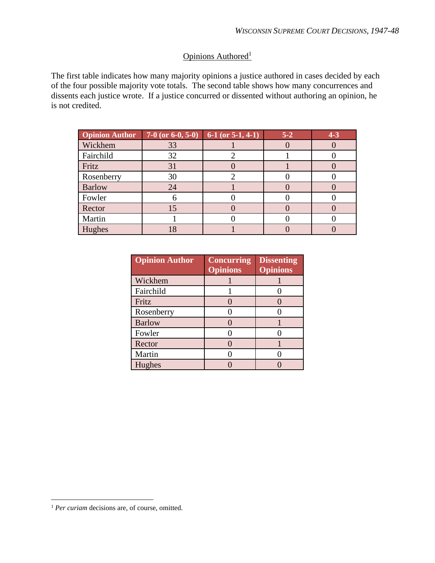## Opinions Authored<sup>1</sup>

The first table indicates how many majority opinions a justice authored in cases decided by each of the four possible majority vote totals. The second table shows how many concurrences and dissents each justice wrote. If a justice concurred or dissented without authoring an opinion, he is not credited.

| <b>Opinion Author</b> | 7-0 (or $6-0, 5-0$ ) | 6-1 (or $5-1$ , 4-1) | $5-2$ | $4 - 3$ |
|-----------------------|----------------------|----------------------|-------|---------|
| Wickhem               | 33                   |                      |       |         |
| Fairchild             | 32                   |                      |       |         |
| Fritz                 | 31                   |                      |       |         |
| Rosenberry            | 30                   |                      |       |         |
| <b>Barlow</b>         | 24                   |                      |       |         |
| Fowler                |                      |                      |       |         |
| Rector                |                      |                      |       |         |
| Martin                |                      |                      |       |         |
| Hughes                |                      |                      |       |         |

| <b>Opinion Author</b> | <b>Concurring</b><br><b>Opinions</b> | <b>Dissenting</b><br><b>Opinions</b> |
|-----------------------|--------------------------------------|--------------------------------------|
| Wickhem               |                                      |                                      |
| Fairchild             |                                      |                                      |
| Fritz                 |                                      |                                      |
| Rosenberry            |                                      |                                      |
| <b>Barlow</b>         |                                      |                                      |
| Fowler                |                                      |                                      |
| Rector                |                                      |                                      |
| Martin                |                                      |                                      |
| Hughes                |                                      |                                      |

<sup>&</sup>lt;sup>1</sup> *Per curiam* decisions are, of course, omitted.